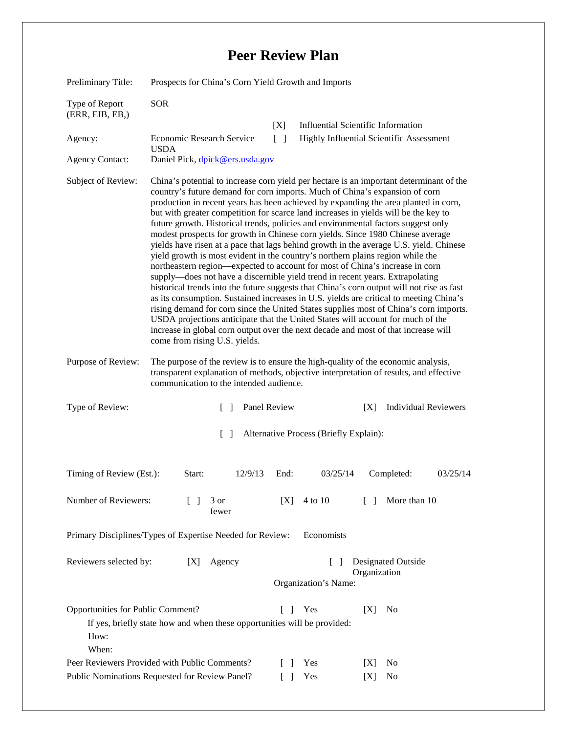## **Peer Review Plan**

| Preliminary Title:                                                                                                                                                                | Prospects for China's Corn Yield Growth and Imports                                                                                                                                                                                                                                                                                                                                                                                                                                                                                                                                                                                                                                                                                                                                                                                                                                                                                                                                                                                                                                                                                                                                                                                                                                                                                                                |                        |                                                                                              |
|-----------------------------------------------------------------------------------------------------------------------------------------------------------------------------------|--------------------------------------------------------------------------------------------------------------------------------------------------------------------------------------------------------------------------------------------------------------------------------------------------------------------------------------------------------------------------------------------------------------------------------------------------------------------------------------------------------------------------------------------------------------------------------------------------------------------------------------------------------------------------------------------------------------------------------------------------------------------------------------------------------------------------------------------------------------------------------------------------------------------------------------------------------------------------------------------------------------------------------------------------------------------------------------------------------------------------------------------------------------------------------------------------------------------------------------------------------------------------------------------------------------------------------------------------------------------|------------------------|----------------------------------------------------------------------------------------------|
| Type of Report<br>(ERR, EIB, EB, )                                                                                                                                                | <b>SOR</b>                                                                                                                                                                                                                                                                                                                                                                                                                                                                                                                                                                                                                                                                                                                                                                                                                                                                                                                                                                                                                                                                                                                                                                                                                                                                                                                                                         |                        |                                                                                              |
| Agency:<br><b>Agency Contact:</b>                                                                                                                                                 | Economic Research Service<br><b>USDA</b><br>Daniel Pick, dpick@ers.usda.gov                                                                                                                                                                                                                                                                                                                                                                                                                                                                                                                                                                                                                                                                                                                                                                                                                                                                                                                                                                                                                                                                                                                                                                                                                                                                                        | [X]<br>$\lceil \rceil$ | <b>Influential Scientific Information</b><br><b>Highly Influential Scientific Assessment</b> |
| Subject of Review:                                                                                                                                                                | China's potential to increase corn yield per hectare is an important determinant of the<br>country's future demand for corn imports. Much of China's expansion of corn<br>production in recent years has been achieved by expanding the area planted in corn,<br>but with greater competition for scarce land increases in yields will be the key to<br>future growth. Historical trends, policies and environmental factors suggest only<br>modest prospects for growth in Chinese corn yields. Since 1980 Chinese average<br>yields have risen at a pace that lags behind growth in the average U.S. yield. Chinese<br>yield growth is most evident in the country's northern plains region while the<br>northeastern region—expected to account for most of China's increase in corn<br>supply—does not have a discernible yield trend in recent years. Extrapolating<br>historical trends into the future suggests that China's corn output will not rise as fast<br>as its consumption. Sustained increases in U.S. yields are critical to meeting China's<br>rising demand for corn since the United States supplies most of China's corn imports.<br>USDA projections anticipate that the United States will account for much of the<br>increase in global corn output over the next decade and most of that increase will<br>come from rising U.S. yields. |                        |                                                                                              |
| Purpose of Review:                                                                                                                                                                | The purpose of the review is to ensure the high-quality of the economic analysis,<br>transparent explanation of methods, objective interpretation of results, and effective<br>communication to the intended audience.                                                                                                                                                                                                                                                                                                                                                                                                                                                                                                                                                                                                                                                                                                                                                                                                                                                                                                                                                                                                                                                                                                                                             |                        |                                                                                              |
| Type of Review:                                                                                                                                                                   | $\Box$                                                                                                                                                                                                                                                                                                                                                                                                                                                                                                                                                                                                                                                                                                                                                                                                                                                                                                                                                                                                                                                                                                                                                                                                                                                                                                                                                             | Panel Review           | <b>Individual Reviewers</b><br>[X]                                                           |
| $\Box$<br>Alternative Process (Briefly Explain):                                                                                                                                  |                                                                                                                                                                                                                                                                                                                                                                                                                                                                                                                                                                                                                                                                                                                                                                                                                                                                                                                                                                                                                                                                                                                                                                                                                                                                                                                                                                    |                        |                                                                                              |
| Timing of Review (Est.):                                                                                                                                                          | Start:<br>12/9/13                                                                                                                                                                                                                                                                                                                                                                                                                                                                                                                                                                                                                                                                                                                                                                                                                                                                                                                                                                                                                                                                                                                                                                                                                                                                                                                                                  | End:<br>03/25/14       | Completed:<br>03/25/14                                                                       |
| Number of Reviewers:                                                                                                                                                              | $\Box$<br>3 or<br>fewer                                                                                                                                                                                                                                                                                                                                                                                                                                                                                                                                                                                                                                                                                                                                                                                                                                                                                                                                                                                                                                                                                                                                                                                                                                                                                                                                            | 4 to 10<br>[X]         | More than 10<br>$\Box$                                                                       |
| Primary Disciplines/Types of Expertise Needed for Review:<br>Economists                                                                                                           |                                                                                                                                                                                                                                                                                                                                                                                                                                                                                                                                                                                                                                                                                                                                                                                                                                                                                                                                                                                                                                                                                                                                                                                                                                                                                                                                                                    |                        |                                                                                              |
| Reviewers selected by:<br>Agency<br><b>Designated Outside</b><br>[X]<br>$\mathbf{I}$<br>Organization<br>Organization's Name:                                                      |                                                                                                                                                                                                                                                                                                                                                                                                                                                                                                                                                                                                                                                                                                                                                                                                                                                                                                                                                                                                                                                                                                                                                                                                                                                                                                                                                                    |                        |                                                                                              |
| Opportunities for Public Comment?<br>$\lceil \rceil$<br>Yes<br>[X]<br>N <sub>0</sub><br>If yes, briefly state how and when these opportunities will be provided:<br>How:<br>When: |                                                                                                                                                                                                                                                                                                                                                                                                                                                                                                                                                                                                                                                                                                                                                                                                                                                                                                                                                                                                                                                                                                                                                                                                                                                                                                                                                                    |                        |                                                                                              |
| Peer Reviewers Provided with Public Comments?<br>Yes<br>$\lceil$ 1<br>No<br>[X]<br>Public Nominations Requested for Review Panel?<br>Yes<br>$\Box$<br>N <sub>0</sub><br> X        |                                                                                                                                                                                                                                                                                                                                                                                                                                                                                                                                                                                                                                                                                                                                                                                                                                                                                                                                                                                                                                                                                                                                                                                                                                                                                                                                                                    |                        |                                                                                              |